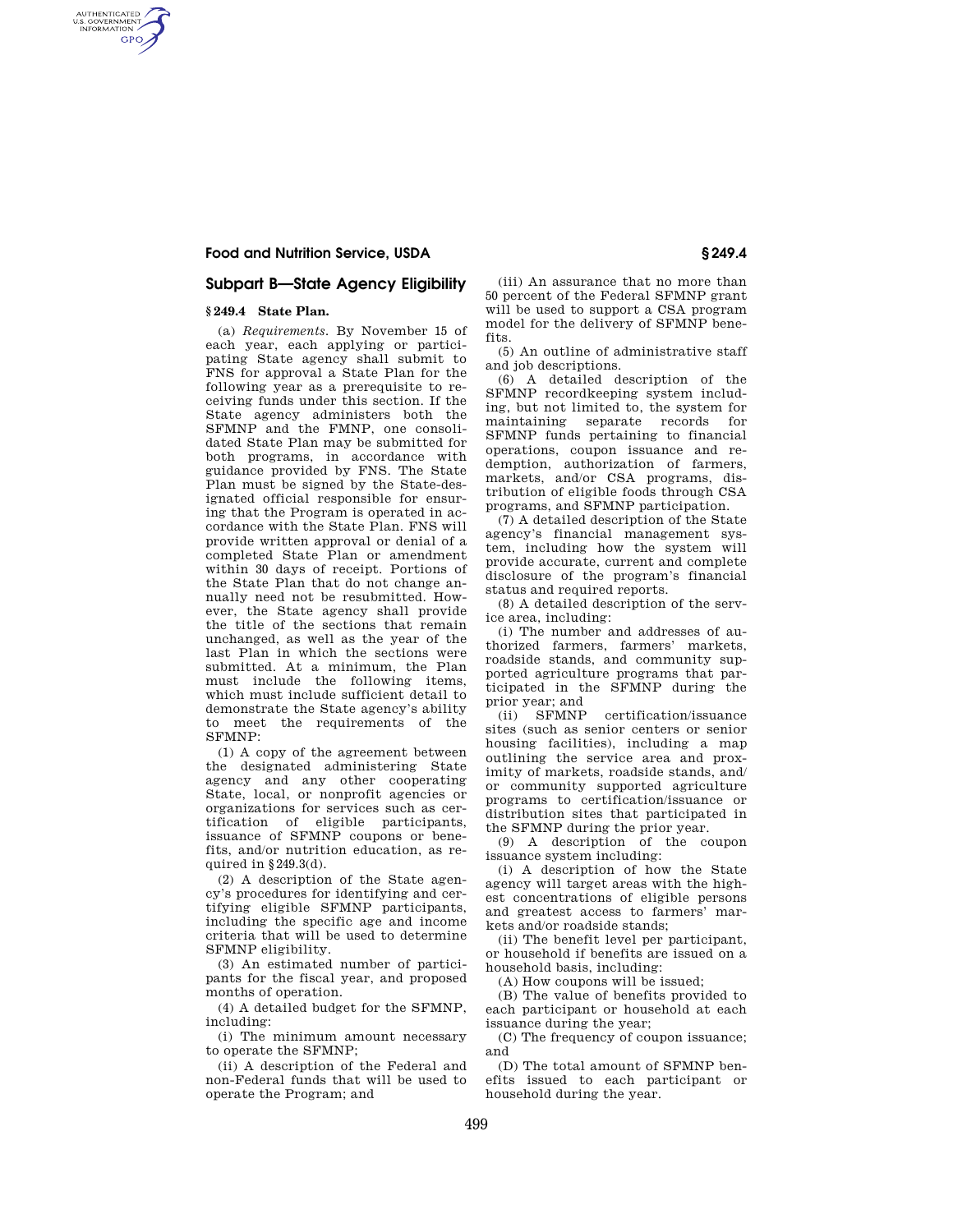### **Food and Nutrition Service, USDA § 249.4**

# **Subpart B—State Agency Eligibility**

#### **§ 249.4 State Plan.**

AUTHENTICATED<br>U.S. GOVERNMENT<br>INFORMATION **GPO** 

> (a) *Requirements.* By November 15 of each year, each applying or participating State agency shall submit to FNS for approval a State Plan for the following year as a prerequisite to receiving funds under this section. If the State agency administers both the SFMNP and the FMNP, one consolidated State Plan may be submitted for both programs, in accordance with guidance provided by FNS. The State Plan must be signed by the State-designated official responsible for ensuring that the Program is operated in accordance with the State Plan. FNS will provide written approval or denial of a completed State Plan or amendment within 30 days of receipt. Portions of the State Plan that do not change annually need not be resubmitted. However, the State agency shall provide the title of the sections that remain unchanged, as well as the year of the last Plan in which the sections were submitted. At a minimum, the Plan must include the following items, which must include sufficient detail to demonstrate the State agency's ability to meet the requirements of the SFMNP:

(1) A copy of the agreement between the designated administering State agency and any other cooperating State, local, or nonprofit agencies or organizations for services such as certification of eligible participants, issuance of SFMNP coupons or benefits, and/or nutrition education, as required in §249.3(d).

(2) A description of the State agency's procedures for identifying and certifying eligible SFMNP participants, including the specific age and income criteria that will be used to determine SFMNP eligibility.

(3) An estimated number of participants for the fiscal year, and proposed months of operation.

(4) A detailed budget for the SFMNP, including:

(i) The minimum amount necessary to operate the SFMNP;

(ii) A description of the Federal and non-Federal funds that will be used to operate the Program; and

(iii) An assurance that no more than 50 percent of the Federal SFMNP grant will be used to support a CSA program model for the delivery of SFMNP benefits.

(5) An outline of administrative staff and job descriptions.

(6) A detailed description of the SFMNP recordkeeping system including, but not limited to, the system for maintaining separate records for SFMNP funds pertaining to financial operations, coupon issuance and redemption, authorization of farmers, markets, and/or CSA programs, distribution of eligible foods through CSA programs, and SFMNP participation.

(7) A detailed description of the State agency's financial management system, including how the system will provide accurate, current and complete disclosure of the program's financial status and required reports.

(8) A detailed description of the service area, including:

(i) The number and addresses of authorized farmers, farmers' markets, roadside stands, and community supported agriculture programs that participated in the SFMNP during the prior year; and<br>(ii) SFMNP

certification/issuance sites (such as senior centers or senior housing facilities), including a map outlining the service area and proximity of markets, roadside stands, and/ or community supported agriculture programs to certification/issuance or distribution sites that participated in the SFMNP during the prior year.

(9) A description of the coupon issuance system including:

(i) A description of how the State agency will target areas with the highest concentrations of eligible persons and greatest access to farmers' markets and/or roadside stands;

(ii) The benefit level per participant, or household if benefits are issued on a household basis, including:

(A) How coupons will be issued;

(B) The value of benefits provided to each participant or household at each issuance during the year;

(C) The frequency of coupon issuance; and

(D) The total amount of SFMNP benefits issued to each participant or household during the year.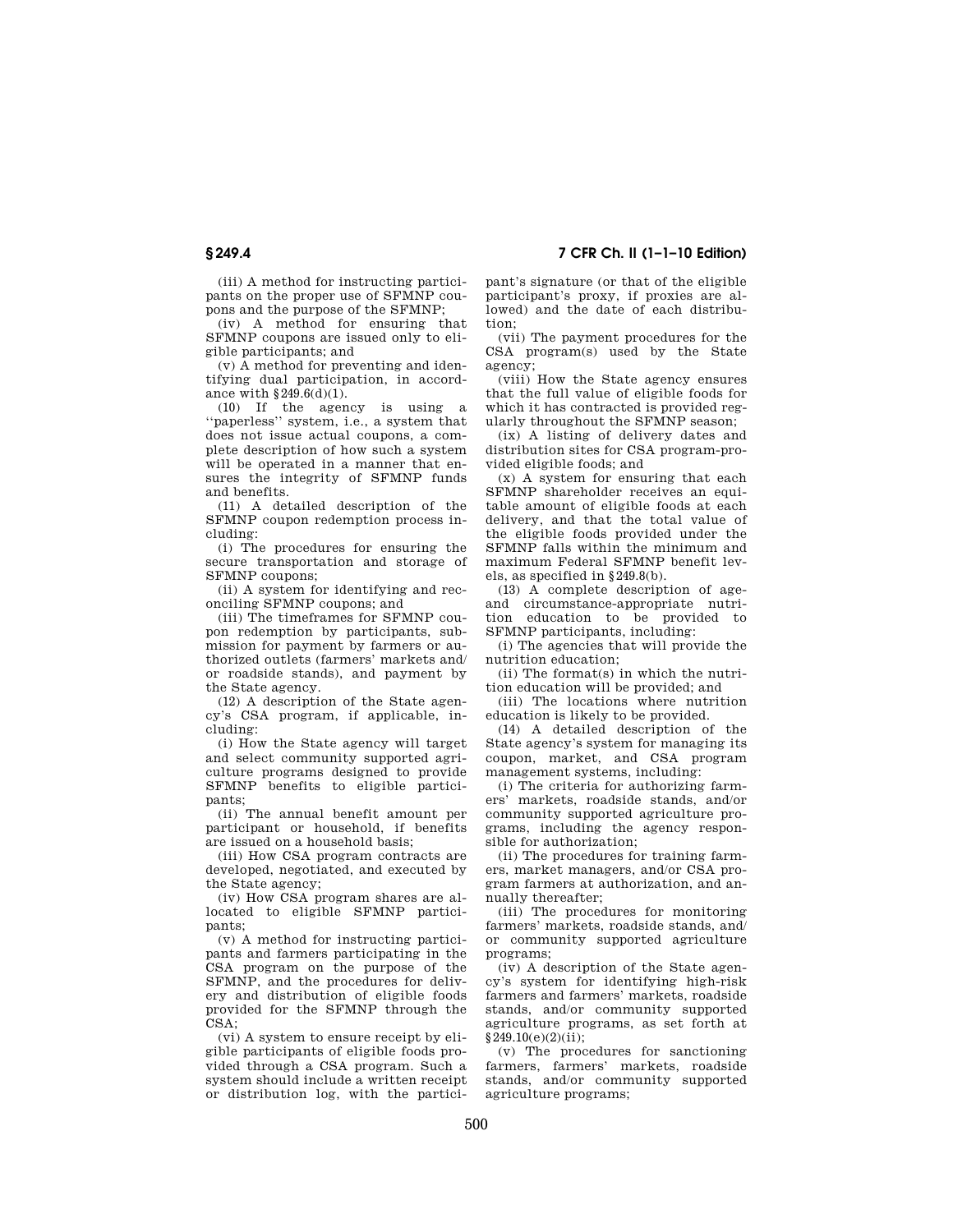(iii) A method for instructing participants on the proper use of SFMNP cou-

pons and the purpose of the SFMNP; (iv) A method for ensuring that SFMNP coupons are issued only to eligible participants; and

(v) A method for preventing and identifying dual participation, in accordance with §249.6(d)(1).

(10) If the agency is using a ''paperless'' system, i.e., a system that does not issue actual coupons, a complete description of how such a system will be operated in a manner that ensures the integrity of SFMNP funds and benefits.

(11) A detailed description of the SFMNP coupon redemption process including:

(i) The procedures for ensuring the secure transportation and storage of SFMNP coupons;

(ii) A system for identifying and reconciling SFMNP coupons; and

(iii) The timeframes for SFMNP coupon redemption by participants, submission for payment by farmers or authorized outlets (farmers' markets and/ or roadside stands), and payment by the State agency.

(12) A description of the State agency's CSA program, if applicable, including:

(i) How the State agency will target and select community supported agriculture programs designed to provide SFMNP benefits to eligible participants;

(ii) The annual benefit amount per participant or household, if benefits are issued on a household basis;

(iii) How CSA program contracts are developed, negotiated, and executed by the State agency;

(iv) How CSA program shares are allocated to eligible SFMNP participants;

(v) A method for instructing participants and farmers participating in the CSA program on the purpose of the SFMNP, and the procedures for delivery and distribution of eligible foods provided for the SFMNP through the CSA;

(vi) A system to ensure receipt by eligible participants of eligible foods provided through a CSA program. Such a system should include a written receipt or distribution log, with the partici-

**§ 249.4 7 CFR Ch. II (1–1–10 Edition)** 

pant's signature (or that of the eligible participant's proxy, if proxies are allowed) and the date of each distribution;

(vii) The payment procedures for the CSA program(s) used by the State agency;

(viii) How the State agency ensures that the full value of eligible foods for which it has contracted is provided regularly throughout the SFMNP season;

(ix) A listing of delivery dates and distribution sites for CSA program-provided eligible foods; and

(x) A system for ensuring that each SFMNP shareholder receives an equitable amount of eligible foods at each delivery, and that the total value of the eligible foods provided under the SFMNP falls within the minimum and maximum Federal SFMNP benefit levels, as specified in §249.8(b).

(13) A complete description of ageand circumstance-appropriate nutrition education to be provided to SFMNP participants, including:

(i) The agencies that will provide the nutrition education;

(ii) The format(s) in which the nutrition education will be provided; and

(iii) The locations where nutrition education is likely to be provided.

(14) A detailed description of the State agency's system for managing its coupon, market, and CSA program management systems, including:

(i) The criteria for authorizing farmers' markets, roadside stands, and/or community supported agriculture programs, including the agency responsible for authorization;

(ii) The procedures for training farmers, market managers, and/or CSA program farmers at authorization, and annually thereafter;

(iii) The procedures for monitoring farmers' markets, roadside stands, and/ or community supported agriculture programs;

(iv) A description of the State agency's system for identifying high-risk farmers and farmers' markets, roadside stands, and/or community supported agriculture programs, as set forth at §249.10(e)(2)(ii);

(v) The procedures for sanctioning farmers, farmers' markets, roadside stands, and/or community supported agriculture programs;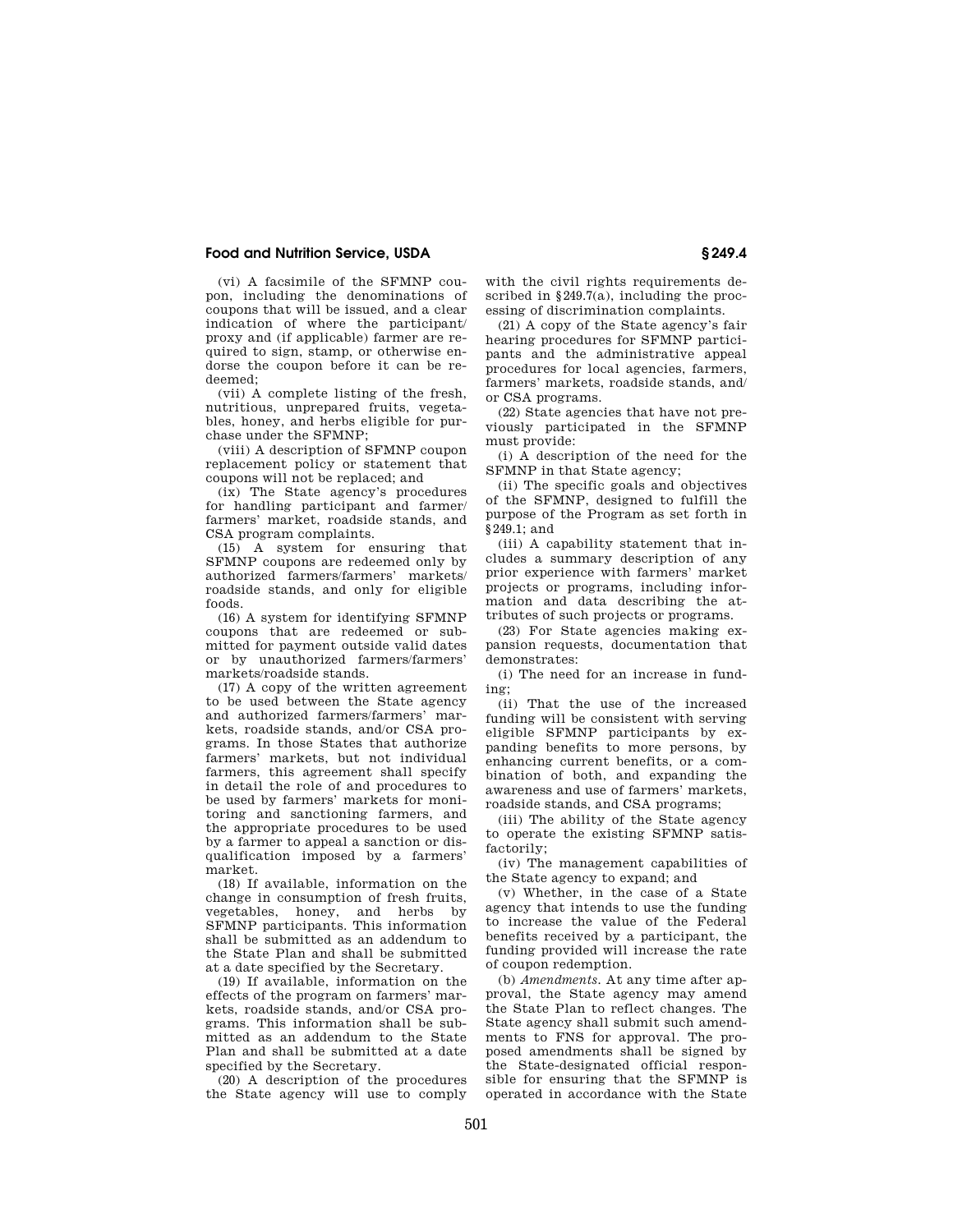### **Food and Nutrition Service, USDA § 249.4**

(vi) A facsimile of the SFMNP coupon, including the denominations of coupons that will be issued, and a clear indication of where the participant/ proxy and (if applicable) farmer are required to sign, stamp, or otherwise endorse the coupon before it can be redeemed;

(vii) A complete listing of the fresh, nutritious, unprepared fruits, vegetables, honey, and herbs eligible for purchase under the SFMNP;

(viii) A description of SFMNP coupon replacement policy or statement that coupons will not be replaced; and

(ix) The State agency's procedures for handling participant and farmer/ farmers' market, roadside stands, and CSA program complaints.

(15) A system for ensuring that SFMNP coupons are redeemed only by authorized farmers/farmers' markets/ roadside stands, and only for eligible foods.

(16) A system for identifying SFMNP coupons that are redeemed or submitted for payment outside valid dates or by unauthorized farmers/farmers' markets/roadside stands.

(17) A copy of the written agreement to be used between the State agency and authorized farmers/farmers' markets, roadside stands, and/or CSA programs. In those States that authorize farmers' markets, but not individual farmers, this agreement shall specify in detail the role of and procedures to be used by farmers' markets for monitoring and sanctioning farmers, and the appropriate procedures to be used by a farmer to appeal a sanction or disqualification imposed by a farmers' market.

(18) If available, information on the change in consumption of fresh fruits, vegetables, honey, and herbs by SFMNP participants. This information shall be submitted as an addendum to the State Plan and shall be submitted at a date specified by the Secretary.

(19) If available, information on the effects of the program on farmers' markets, roadside stands, and/or CSA programs. This information shall be submitted as an addendum to the State Plan and shall be submitted at a date specified by the Secretary.

(20) A description of the procedures the State agency will use to comply

with the civil rights requirements described in  $§249.7(a)$ , including the processing of discrimination complaints.

(21) A copy of the State agency's fair hearing procedures for SFMNP participants and the administrative appeal procedures for local agencies, farmers, farmers' markets, roadside stands, and/ or CSA programs.

(22) State agencies that have not previously participated in the SFMNP must provide:

(i) A description of the need for the SFMNP in that State agency;

(ii) The specific goals and objectives of the SFMNP, designed to fulfill the purpose of the Program as set forth in §249.1; and

(iii) A capability statement that includes a summary description of any prior experience with farmers' market projects or programs, including information and data describing the attributes of such projects or programs.

(23) For State agencies making expansion requests, documentation that demonstrates:

(i) The need for an increase in funding;

(ii) That the use of the increased funding will be consistent with serving eligible SFMNP participants by expanding benefits to more persons, by enhancing current benefits, or a combination of both, and expanding the awareness and use of farmers' markets, roadside stands, and CSA programs;

(iii) The ability of the State agency to operate the existing SFMNP satisfactorily;

(iv) The management capabilities of the State agency to expand; and

(v) Whether, in the case of a State agency that intends to use the funding to increase the value of the Federal benefits received by a participant, the funding provided will increase the rate of coupon redemption.

(b) *Amendments.* At any time after approval, the State agency may amend the State Plan to reflect changes. The State agency shall submit such amendments to FNS for approval. The proposed amendments shall be signed by the State-designated official responsible for ensuring that the SFMNP is operated in accordance with the State